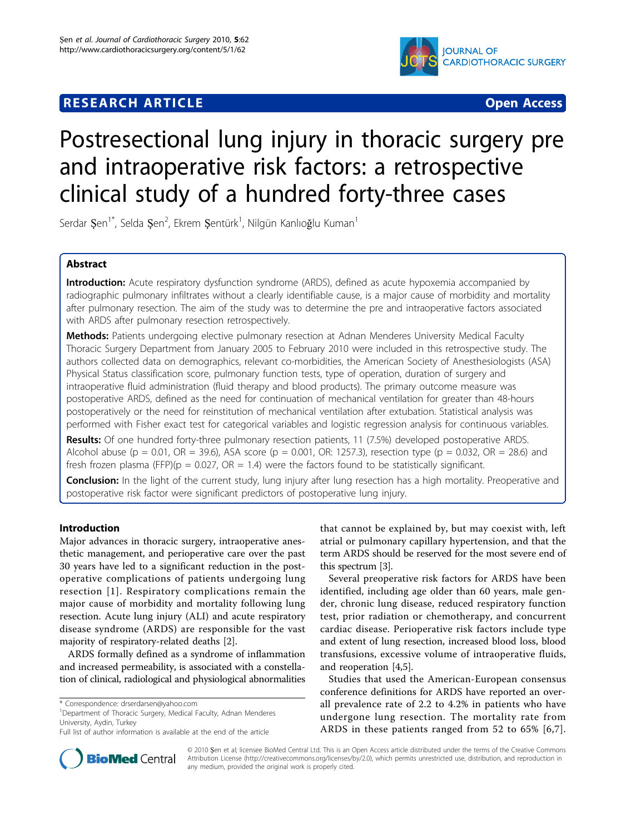## **RESEARCH ARTICLE Example 2018 12:00 Department of the Contract Open Access**



# Postresectional lung injury in thoracic surgery pre and intraoperative risk factors: a retrospective clinical study of a hundred forty-three cases

Serdar  $\mathsf{Sen}^{1^\ast}$ , Selda  $\mathsf{Sen}^2$ , Ekrem  $\mathsf{Sentürk}^1$ , Nilgün Kanlıo $\mathsf{ğlu}$  Kuman $^1$ 

## Abstract

Introduction: Acute respiratory dysfunction syndrome (ARDS), defined as acute hypoxemia accompanied by radiographic pulmonary infiltrates without a clearly identifiable cause, is a major cause of morbidity and mortality after pulmonary resection. The aim of the study was to determine the pre and intraoperative factors associated with ARDS after pulmonary resection retrospectively.

Methods: Patients undergoing elective pulmonary resection at Adnan Menderes University Medical Faculty Thoracic Surgery Department from January 2005 to February 2010 were included in this retrospective study. The authors collected data on demographics, relevant co-morbidities, the American Society of Anesthesiologists (ASA) Physical Status classification score, pulmonary function tests, type of operation, duration of surgery and intraoperative fluid administration (fluid therapy and blood products). The primary outcome measure was postoperative ARDS, defined as the need for continuation of mechanical ventilation for greater than 48-hours postoperatively or the need for reinstitution of mechanical ventilation after extubation. Statistical analysis was performed with Fisher exact test for categorical variables and logistic regression analysis for continuous variables.

Results: Of one hundred forty-three pulmonary resection patients, 11 (7.5%) developed postoperative ARDS. Alcohol abuse (p = 0.01, OR = 39.6), ASA score (p = 0.001, OR: 1257.3), resection type (p = 0.032, OR = 28.6) and fresh frozen plasma (FFP)( $p = 0.027$ ,  $OR = 1.4$ ) were the factors found to be statistically significant.

**Conclusion:** In the light of the current study, lung injury after lung resection has a high mortality. Preoperative and postoperative risk factor were significant predictors of postoperative lung injury.

## Introduction

Major advances in thoracic surgery, intraoperative anesthetic management, and perioperative care over the past 30 years have led to a significant reduction in the postoperative complications of patients undergoing lung resection [[1](#page-4-0)]. Respiratory complications remain the major cause of morbidity and mortality following lung resection. Acute lung injury (ALI) and acute respiratory disease syndrome (ARDS) are responsible for the vast majority of respiratory-related deaths [[2\]](#page-4-0).

ARDS formally defined as a syndrome of inflammation and increased permeability, is associated with a constellation of clinical, radiological and physiological abnormalities

<sup>1</sup>Department of Thoracic Surgery, Medical Faculty, Adnan Menderes University, Aydin, Turkey

that cannot be explained by, but may coexist with, left atrial or pulmonary capillary hypertension, and that the term ARDS should be reserved for the most severe end of this spectrum [\[3\]](#page-4-0).

Several preoperative risk factors for ARDS have been identified, including age older than 60 years, male gender, chronic lung disease, reduced respiratory function test, prior radiation or chemotherapy, and concurrent cardiac disease. Perioperative risk factors include type and extent of lung resection, increased blood loss, blood transfusions, excessive volume of intraoperative fluids, and reoperation [\[4,5](#page-4-0)].

Studies that used the American-European consensus conference definitions for ARDS have reported an overall prevalence rate of 2.2 to 4.2% in patients who have undergone lung resection. The mortality rate from ARDS in these patients ranged from 52 to 65% [[6](#page-4-0),[7\]](#page-4-0).



© 2010 Şen et al; licensee BioMed Central Ltd. This is an Open Access article distributed under the terms of the Creative Commons Attribution License [\(http://creativecommons.org/licenses/by/2.0](http://creativecommons.org/licenses/by/2.0)), which permits unrestricted use, distribution, and reproduction in any medium, provided the original work is properly cited.

<sup>\*</sup> Correspondence: [drserdarsen@yahoo.com](mailto:drserdarsen@yahoo.com)

Full list of author information is available at the end of the article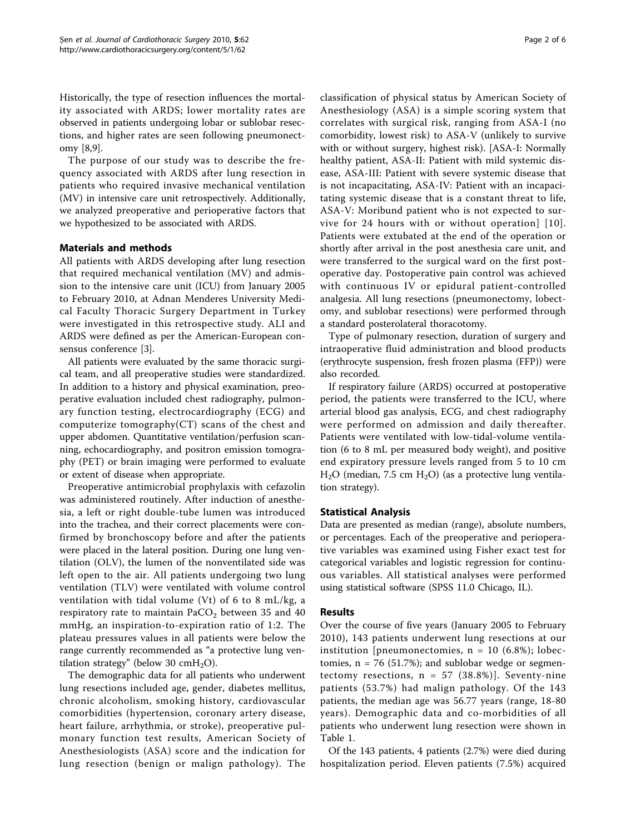Historically, the type of resection influences the mortality associated with ARDS; lower mortality rates are observed in patients undergoing lobar or sublobar resections, and higher rates are seen following pneumonectomy [[8,9\]](#page-4-0).

The purpose of our study was to describe the frequency associated with ARDS after lung resection in patients who required invasive mechanical ventilation (MV) in intensive care unit retrospectively. Additionally, we analyzed preoperative and perioperative factors that we hypothesized to be associated with ARDS.

## Materials and methods

All patients with ARDS developing after lung resection that required mechanical ventilation (MV) and admission to the intensive care unit (ICU) from January 2005 to February 2010, at Adnan Menderes University Medical Faculty Thoracic Surgery Department in Turkey were investigated in this retrospective study. ALI and ARDS were defined as per the American-European consensus conference [[3\]](#page-4-0).

All patients were evaluated by the same thoracic surgical team, and all preoperative studies were standardized. In addition to a history and physical examination, preoperative evaluation included chest radiography, pulmonary function testing, electrocardiography (ECG) and computerize tomography(CT) scans of the chest and upper abdomen. Quantitative ventilation/perfusion scanning, echocardiography, and positron emission tomography (PET) or brain imaging were performed to evaluate or extent of disease when appropriate.

Preoperative antimicrobial prophylaxis with cefazolin was administered routinely. After induction of anesthesia, a left or right double-tube lumen was introduced into the trachea, and their correct placements were confirmed by bronchoscopy before and after the patients were placed in the lateral position. During one lung ventilation (OLV), the lumen of the nonventilated side was left open to the air. All patients undergoing two lung ventilation (TLV) were ventilated with volume control ventilation with tidal volume (Vt) of 6 to 8 mL/kg, a respiratory rate to maintain  $PaCO<sub>2</sub>$  between 35 and 40 mmHg, an inspiration-to-expiration ratio of 1:2. The plateau pressures values in all patients were below the range currently recommended as "a protective lung ventilation strategy" (below 30  $\text{cmH}_2\text{O}$ ).

The demographic data for all patients who underwent lung resections included age, gender, diabetes mellitus, chronic alcoholism, smoking history, cardiovascular comorbidities (hypertension, coronary artery disease, heart failure, arrhythmia, or stroke), preoperative pulmonary function test results, American Society of Anesthesiologists (ASA) score and the indication for lung resection (benign or malign pathology). The

classification of physical status by American Society of Anesthesiology (ASA) is a simple scoring system that correlates with surgical risk, ranging from ASA-I (no comorbidity, lowest risk) to ASA-V (unlikely to survive with or without surgery, highest risk). [ASA-I: Normally healthy patient, ASA-II: Patient with mild systemic disease, ASA-III: Patient with severe systemic disease that is not incapacitating, ASA-IV: Patient with an incapacitating systemic disease that is a constant threat to life, ASA-V: Moribund patient who is not expected to survive for 24 hours with or without operation] [[10\]](#page-4-0). Patients were extubated at the end of the operation or shortly after arrival in the post anesthesia care unit, and were transferred to the surgical ward on the first postoperative day. Postoperative pain control was achieved with continuous IV or epidural patient-controlled analgesia. All lung resections (pneumonectomy, lobectomy, and sublobar resections) were performed through a standard posterolateral thoracotomy.

Type of pulmonary resection, duration of surgery and intraoperative fluid administration and blood products (erythrocyte suspension, fresh frozen plasma (FFP)) were also recorded.

If respiratory failure (ARDS) occurred at postoperative period, the patients were transferred to the ICU, where arterial blood gas analysis, ECG, and chest radiography were performed on admission and daily thereafter. Patients were ventilated with low-tidal-volume ventilation (6 to 8 mL per measured body weight), and positive end expiratory pressure levels ranged from 5 to 10 cm  $H<sub>2</sub>O$  (median, 7.5 cm  $H<sub>2</sub>O$ ) (as a protective lung ventilation strategy).

## Statistical Analysis

Data are presented as median (range), absolute numbers, or percentages. Each of the preoperative and perioperative variables was examined using Fisher exact test for categorical variables and logistic regression for continuous variables. All statistical analyses were performed using statistical software (SPSS 11.0 Chicago, IL).

### Results

Over the course of five years (January 2005 to February 2010), 143 patients underwent lung resections at our institution [pneumonectomies,  $n = 10$  (6.8%); lobectomies,  $n = 76$  (51.7%); and sublobar wedge or segmentectomy resections,  $n = 57$  (38.8%)]. Seventy-nine patients (53.7%) had malign pathology. Of the 143 patients, the median age was 56.77 years (range, 18-80 years). Demographic data and co-morbidities of all patients who underwent lung resection were shown in Table [1.](#page-2-0)

Of the 143 patients, 4 patients (2.7%) were died during hospitalization period. Eleven patients (7.5%) acquired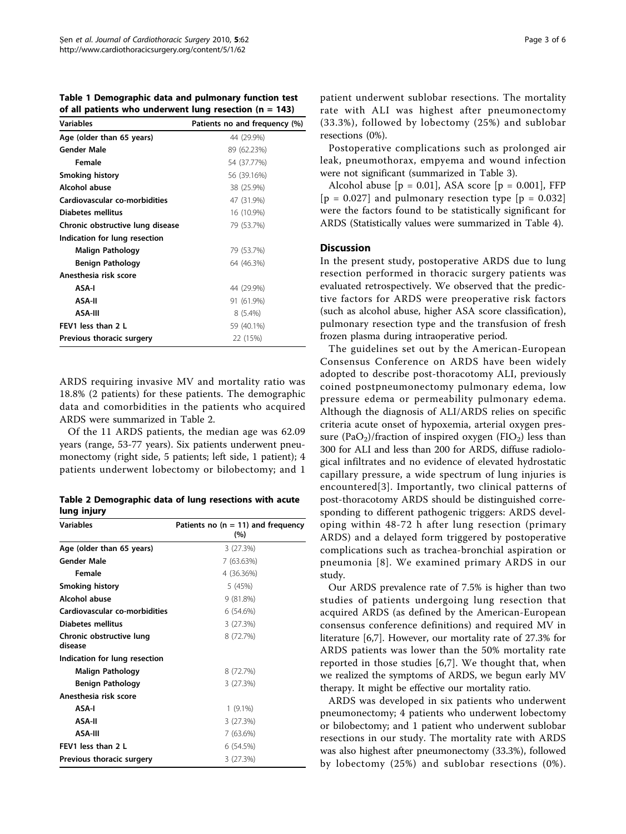<span id="page-2-0"></span>Table 1 Demographic data and pulmonary function test of all patients who underwent lung resection  $(n = 143)$ 

| Variables                             | Patients no and frequency (%) |
|---------------------------------------|-------------------------------|
| Age (older than 65 years)             | 44 (29.9%)                    |
| <b>Gender Male</b>                    | 89 (62.23%)                   |
| Female                                | 54 (37.77%)                   |
| <b>Smoking history</b>                | 56 (39.16%)                   |
| Alcohol abuse                         | 38 (25.9%)                    |
| Cardiovascular co-morbidities         | 47 (31.9%)                    |
| Diabetes mellitus                     | 16 (10.9%)                    |
| Chronic obstructive lung disease      | 79 (53.7%)                    |
| Indication for lung resection         |                               |
| Malign Pathology                      | 79 (53.7%)                    |
| Benign Pathology                      | 64 (46.3%)                    |
| Anesthesia risk score                 |                               |
| ASA-I                                 | 44 (29.9%)                    |
| ASA-II                                | 91 (61.9%)                    |
| <b>ASA-III</b>                        | $8(5.4\%)$                    |
| FEV1 less than 2 L                    | 59 (40.1%)                    |
| Previous thoracic surgery<br>22 (15%) |                               |

ARDS requiring invasive MV and mortality ratio was 18.8% (2 patients) for these patients. The demographic data and comorbidities in the patients who acquired ARDS were summarized in Table 2.

Of the 11 ARDS patients, the median age was 62.09 years (range, 53-77 years). Six patients underwent pneumonectomy (right side, 5 patients; left side, 1 patient); 4 patients underwent lobectomy or bilobectomy; and 1

Table 2 Demographic data of lung resections with acute lung injury

| <b>Variables</b>                    | Patients no ( $n = 11$ ) and frequency<br>(%) |
|-------------------------------------|-----------------------------------------------|
| Age (older than 65 years)           | 3(27.3%)                                      |
| <b>Gender Male</b>                  | 7 (63.63%)                                    |
| Female                              | 4 (36.36%)                                    |
| Smoking history                     | 5 (45%)                                       |
| Alcohol abuse                       | 9(81.8%)                                      |
| Cardiovascular co-morbidities       | 6(54.6%)                                      |
| Diabetes mellitus                   | 3 (27.3%)                                     |
| Chronic obstructive lung<br>disease | 8 (72.7%)                                     |
| Indication for lung resection       |                                               |
| Malign Pathology                    | 8 (72.7%)                                     |
| Benign Pathology                    | 3 (27.3%)                                     |
| Anesthesia risk score               |                                               |
| ASA-I                               | $1(9.1\%)$                                    |
| ASA-II                              | 3(27.3%)                                      |
| <b>ASA-III</b>                      | 7 (63.6%)                                     |
| FEV1 less than 2 L                  | 6(54.5%)                                      |
| Previous thoracic surgery           | 3 (27.3%)                                     |

patient underwent sublobar resections. The mortality rate with ALI was highest after pneumonectomy (33.3%), followed by lobectomy (25%) and sublobar resections (0%).

Postoperative complications such as prolonged air leak, pneumothorax, empyema and wound infection were not significant (summarized in Table [3](#page-3-0)).

Alcohol abuse  $[p = 0.01]$ , ASA score  $[p = 0.001]$ , FFP  $[p = 0.027]$  and pulmonary resection type  $[p = 0.032]$ were the factors found to be statistically significant for ARDS (Statistically values were summarized in Table [4\)](#page-3-0).

## **Discussion**

In the present study, postoperative ARDS due to lung resection performed in thoracic surgery patients was evaluated retrospectively. We observed that the predictive factors for ARDS were preoperative risk factors (such as alcohol abuse, higher ASA score classification), pulmonary resection type and the transfusion of fresh frozen plasma during intraoperative period.

The guidelines set out by the American-European Consensus Conference on ARDS have been widely adopted to describe post-thoracotomy ALI, previously coined postpneumonectomy pulmonary edema, low pressure edema or permeability pulmonary edema. Although the diagnosis of ALI/ARDS relies on specific criteria acute onset of hypoxemia, arterial oxygen pressure  $(PaO<sub>2</sub>)/$  fraction of inspired oxygen  $(FIO<sub>2</sub>)$  less than 300 for ALI and less than 200 for ARDS, diffuse radiological infiltrates and no evidence of elevated hydrostatic capillary pressure, a wide spectrum of lung injuries is encountered[[3](#page-4-0)]. Importantly, two clinical patterns of post-thoracotomy ARDS should be distinguished corresponding to different pathogenic triggers: ARDS developing within 48-72 h after lung resection (primary ARDS) and a delayed form triggered by postoperative complications such as trachea-bronchial aspiration or pneumonia [[8\]](#page-4-0). We examined primary ARDS in our study.

Our ARDS prevalence rate of 7.5% is higher than two studies of patients undergoing lung resection that acquired ARDS (as defined by the American-European consensus conference definitions) and required MV in literature [[6,7\]](#page-4-0). However, our mortality rate of 27.3% for ARDS patients was lower than the 50% mortality rate reported in those studies [[6,7](#page-4-0)]. We thought that, when we realized the symptoms of ARDS, we begun early MV therapy. It might be effective our mortality ratio.

ARDS was developed in six patients who underwent pneumonectomy; 4 patients who underwent lobectomy or bilobectomy; and 1 patient who underwent sublobar resections in our study. The mortality rate with ARDS was also highest after pneumonectomy (33.3%), followed by lobectomy (25%) and sublobar resections (0%).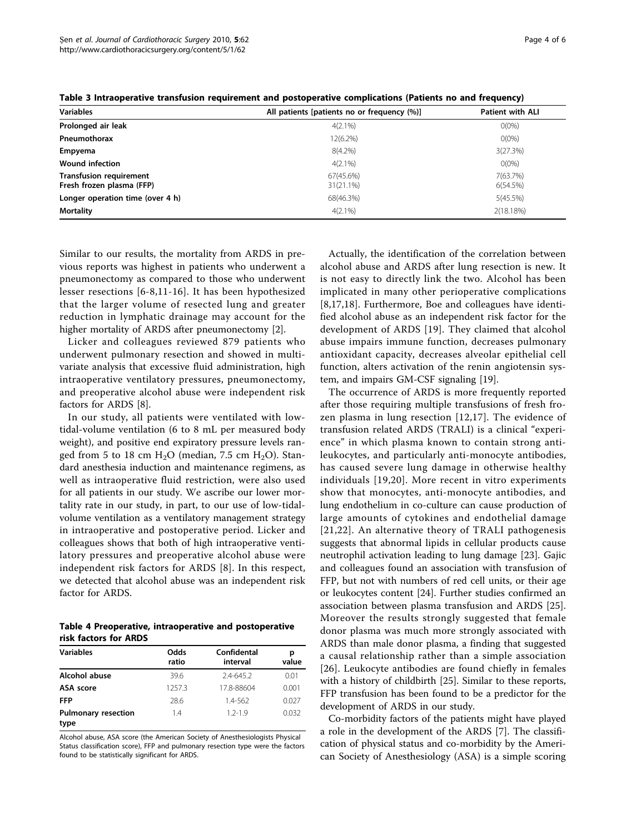Similar to our results, the mortality from ARDS in previous reports was highest in patients who underwent a pneumonectomy as compared to those who underwent lesser resections [[6-8,11](#page-4-0)-[16](#page-4-0)]. It has been hypothesized that the larger volume of resected lung and greater reduction in lymphatic drainage may account for the higher mortality of ARDS after pneumonectomy [[2\]](#page-4-0).

Licker and colleagues reviewed 879 patients who underwent pulmonary resection and showed in multivariate analysis that excessive fluid administration, high intraoperative ventilatory pressures, pneumonectomy, and preoperative alcohol abuse were independent risk factors for ARDS [\[8](#page-4-0)].

In our study, all patients were ventilated with lowtidal-volume ventilation (6 to 8 mL per measured body weight), and positive end expiratory pressure levels ranged from 5 to 18 cm  $H_2O$  (median, 7.5 cm  $H_2O$ ). Standard anesthesia induction and maintenance regimens, as well as intraoperative fluid restriction, were also used for all patients in our study. We ascribe our lower mortality rate in our study, in part, to our use of low-tidalvolume ventilation as a ventilatory management strategy in intraoperative and postoperative period. Licker and colleagues shows that both of high intraoperative ventilatory pressures and preoperative alcohol abuse were independent risk factors for ARDS [\[8](#page-4-0)]. In this respect, we detected that alcohol abuse was an independent risk factor for ARDS.

Table 4 Preoperative, intraoperative and postoperative risk factors for ARDS

| <b>Variables</b>                   | Odds<br>ratio | Confidental<br>interval | р<br>value |
|------------------------------------|---------------|-------------------------|------------|
| Alcohol abuse                      | 39.6          | 2.4-645.2               | 0.01       |
| <b>ASA</b> score                   | 1257.3        | 17.8-88604              | 0.001      |
| <b>FFP</b>                         | 28.6          | 1.4-562                 | 0.027      |
| <b>Pulmonary resection</b><br>type | 1.4           | $12-19$                 | 0.032      |

Alcohol abuse, ASA score (the American Society of Anesthesiologists Physical Status classification score), FFP and pulmonary resection type were the factors found to be statistically significant for ARDS.

Actually, the identification of the correlation between alcohol abuse and ARDS after lung resection is new. It is not easy to directly link the two. Alcohol has been implicated in many other perioperative complications [[8,17](#page-4-0),[18](#page-4-0)]. Furthermore, Boe and colleagues have identified alcohol abuse as an independent risk factor for the development of ARDS [[19](#page-4-0)]. They claimed that alcohol abuse impairs immune function, decreases pulmonary antioxidant capacity, decreases alveolar epithelial cell function, alters activation of the renin angiotensin system, and impairs GM-CSF signaling [\[19](#page-4-0)].

The occurrence of ARDS is more frequently reported after those requiring multiple transfusions of fresh frozen plasma in lung resection [[12](#page-4-0),[17\]](#page-4-0). The evidence of transfusion related ARDS (TRALI) is a clinical "experience" in which plasma known to contain strong antileukocytes, and particularly anti-monocyte antibodies, has caused severe lung damage in otherwise healthy individuals [[19](#page-4-0),[20](#page-4-0)]. More recent in vitro experiments show that monocytes, anti-monocyte antibodies, and lung endothelium in co-culture can cause production of large amounts of cytokines and endothelial damage [[21,22](#page-4-0)]. An alternative theory of TRALI pathogenesis suggests that abnormal lipids in cellular products cause neutrophil activation leading to lung damage [[23\]](#page-4-0). Gajic and colleagues found an association with transfusion of FFP, but not with numbers of red cell units, or their age or leukocytes content [[24\]](#page-4-0). Further studies confirmed an association between plasma transfusion and ARDS [\[25](#page-4-0)]. Moreover the results strongly suggested that female donor plasma was much more strongly associated with ARDS than male donor plasma, a finding that suggested a causal relationship rather than a simple association [[26](#page-4-0)]. Leukocyte antibodies are found chiefly in females with a history of childbirth [[25](#page-4-0)]. Similar to these reports, FFP transfusion has been found to be a predictor for the development of ARDS in our study.

Co-morbidity factors of the patients might have played a role in the development of the ARDS [[7\]](#page-4-0). The classification of physical status and co-morbidity by the American Society of Anesthesiology (ASA) is a simple scoring

<span id="page-3-0"></span>Table 3 Intraoperative transfusion requirement and postoperative complications (Patients no and frequency)

| <b>Variables</b>                                            | All patients [patients no or frequency (%)] | <b>Patient with ALI</b> |
|-------------------------------------------------------------|---------------------------------------------|-------------------------|
| Prolonged air leak                                          | $4(2.1\%)$                                  | $O(0\%)$                |
| Pneumothorax                                                | 12(6.2%)                                    | $O(0\%)$                |
| Empyema                                                     | $8(4.2\%)$                                  | 3(27.3%)                |
| <b>Wound infection</b>                                      | $4(2.1\%)$                                  | $O(0\%)$                |
| <b>Transfusion requirement</b><br>Fresh frozen plasma (FFP) | 67(45.6%)<br>31(21.1%)                      | 7(63.7%)<br>6(54.5%)    |
| Longer operation time (over 4 h)                            | 68(46.3%)                                   | 5(45.5%)                |
| <b>Mortality</b>                                            | $4(2.1\%)$                                  | 2(18.18%)               |
|                                                             |                                             |                         |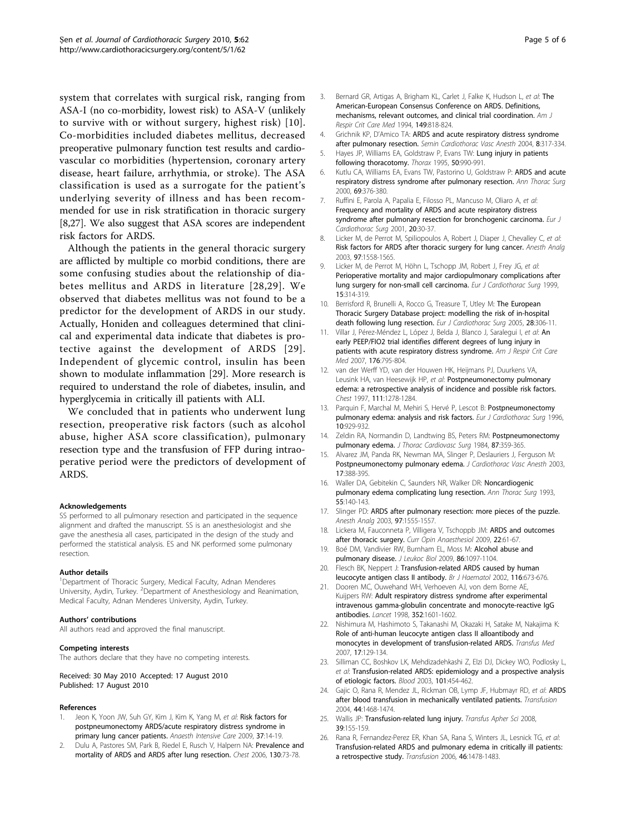<span id="page-4-0"></span>system that correlates with surgical risk, ranging from ASA-I (no co-morbidity, lowest risk) to ASA-V (unlikely to survive with or without surgery, highest risk) [10]. Co-morbidities included diabetes mellitus, decreased preoperative pulmonary function test results and cardiovascular co morbidities (hypertension, coronary artery disease, heart failure, arrhythmia, or stroke). The ASA classification is used as a surrogate for the patient's underlying severity of illness and has been recommended for use in risk stratification in thoracic surgery [8,[27\]](#page-5-0). We also suggest that ASA scores are independent risk factors for ARDS.

Although the patients in the general thoracic surgery are afflicted by multiple co morbid conditions, there are some confusing studies about the relationship of diabetes mellitus and ARDS in literature [[28,29](#page-5-0)]. We observed that diabetes mellitus was not found to be a predictor for the development of ARDS in our study. Actually, Honiden and colleagues determined that clinical and experimental data indicate that diabetes is protective against the development of ARDS [[29\]](#page-5-0). Independent of glycemic control, insulin has been shown to modulate inflammation [\[29\]](#page-5-0). More research is required to understand the role of diabetes, insulin, and hyperglycemia in critically ill patients with ALI.

We concluded that in patients who underwent lung resection, preoperative risk factors (such as alcohol abuse, higher ASA score classification), pulmonary resection type and the transfusion of FFP during intraoperative period were the predictors of development of ARDS.

#### Acknowledgements

SS performed to all pulmonary resection and participated in the sequence alignment and drafted the manuscript. SS is an anesthesiologist and she gave the anesthesia all cases, participated in the design of the study and performed the statistical analysis. ES and NK performed some pulmonary resection.

#### Author details

<sup>1</sup>Department of Thoracic Surgery, Medical Faculty, Adnan Menderes University, Aydin, Turkey. <sup>2</sup>Department of Anesthesiology and Reanimation, Medical Faculty, Adnan Menderes University, Aydin, Turkey.

#### Authors' contributions

All authors read and approved the final manuscript.

#### Competing interests

The authors declare that they have no competing interests.

#### Received: 30 May 2010 Accepted: 17 August 2010 Published: 17 August 2010

#### References

- 1. Jeon K, Yoon JW, Suh GY, Kim J, Kim K, Yang M, et al: [Risk factors for](http://www.ncbi.nlm.nih.gov/pubmed/19157340?dopt=Abstract) [postpneumonectomy ARDS/acute respiratory distress syndrome in](http://www.ncbi.nlm.nih.gov/pubmed/19157340?dopt=Abstract) [primary lung cancer patients.](http://www.ncbi.nlm.nih.gov/pubmed/19157340?dopt=Abstract) Anaesth Intensive Care 2009, 37:14-19.
- 2. Dulu A, Pastores SM, Park B, Riedel E, Rusch V, Halpern NA: [Prevalence and](http://www.ncbi.nlm.nih.gov/pubmed/16840385?dopt=Abstract) [mortality of ARDS and ARDS after lung resection.](http://www.ncbi.nlm.nih.gov/pubmed/16840385?dopt=Abstract) Chest 2006, 130:73-78.
- 3. Bernard GR, Artigas A, Brigham KL, Carlet J, Falke K, Hudson L, et al: [The](http://www.ncbi.nlm.nih.gov/pubmed/7509706?dopt=Abstract) [American-European Consensus Conference on ARDS. Definitions,](http://www.ncbi.nlm.nih.gov/pubmed/7509706?dopt=Abstract) [mechanisms, relevant outcomes, and clinical trial coordination.](http://www.ncbi.nlm.nih.gov/pubmed/7509706?dopt=Abstract) Am J Respir Crit Care Med 1994, 149:818-824.
- 4. Grichnik KP, D'Amico TA: [ARDS and acute respiratory distress syndrome](http://www.ncbi.nlm.nih.gov/pubmed/15583792?dopt=Abstract) [after pulmonary resection.](http://www.ncbi.nlm.nih.gov/pubmed/15583792?dopt=Abstract) Semin Cardiothorac Vasc Anesth 2004, 8:317-334.
- 5. Hayes JP, Williams EA, Goldstraw P, Evans TW: [Lung injury in patients](http://www.ncbi.nlm.nih.gov/pubmed/8539682?dopt=Abstract) [following thoracotomy.](http://www.ncbi.nlm.nih.gov/pubmed/8539682?dopt=Abstract) Thorax 1995, 50:990-991.
- 6. Kutlu CA, Williams EA, Evans TW, Pastorino U, Goldstraw P: [ARDS and acute](http://www.ncbi.nlm.nih.gov/pubmed/10735666?dopt=Abstract) [respiratory distress syndrome after pulmonary resection.](http://www.ncbi.nlm.nih.gov/pubmed/10735666?dopt=Abstract) Ann Thorac Surg 2000, 69:376-380.
- 7. Ruffini E, Parola A, Papalia E, Filosso PL, Mancuso M, Oliaro A, et al: [Frequency and mortality of ARDS and acute respiratory distress](http://www.ncbi.nlm.nih.gov/pubmed/11423270?dopt=Abstract) [syndrome after pulmonary resection for bronchogenic carcinoma.](http://www.ncbi.nlm.nih.gov/pubmed/11423270?dopt=Abstract) Eur J Cardiothorac Surg 2001, 20:30-37.
- 8. Licker M, de Perrot M, Spiliopoulos A, Robert J, Diaper J, Chevalley C, et al: [Risk factors for ARDS after thoracic surgery for lung cancer.](http://www.ncbi.nlm.nih.gov/pubmed/14633519?dopt=Abstract) Anesth Analg 2003, 97:1558-1565.
- 9. Licker M, de Perrot M, Höhn L, Tschopp JM, Robert J, Frey JG, et al: [Perioperative mortality and major cardiopulmonary complications after](http://www.ncbi.nlm.nih.gov/pubmed/10333029?dopt=Abstract) [lung surgery for non-small cell carcinoma.](http://www.ncbi.nlm.nih.gov/pubmed/10333029?dopt=Abstract) Eur J Cardiothorac Surg 1999, 15:314-319.
- 10. Berrisford R, Brunelli A, Rocco G, Treasure T, Utley M: [The European](http://www.ncbi.nlm.nih.gov/pubmed/16144067?dopt=Abstract) [Thoracic Surgery Database project: modelling the risk of in-hospital](http://www.ncbi.nlm.nih.gov/pubmed/16144067?dopt=Abstract) [death following lung resection.](http://www.ncbi.nlm.nih.gov/pubmed/16144067?dopt=Abstract) Eur J Cardiothorac Sura 2005, 28:306-11.
- 11. Villar J, Pérez-Méndez L, López J, Belda J, Blanco J, Saralegui I, et al: [An](http://www.ncbi.nlm.nih.gov/pubmed/17585106?dopt=Abstract) [early PEEP/FIO2 trial identifies different degrees of lung injury in](http://www.ncbi.nlm.nih.gov/pubmed/17585106?dopt=Abstract) [patients with acute respiratory distress syndrome.](http://www.ncbi.nlm.nih.gov/pubmed/17585106?dopt=Abstract) Am J Respir Crit Care Med 2007, 176:795-804.
- 12. van der Werff YD, van der Houwen HK, Heijmans PJ, Duurkens VA, Leusink HA, van Heesewijk HP, et al: [Postpneumonectomy pulmonary](http://www.ncbi.nlm.nih.gov/pubmed/9149583?dopt=Abstract) [edema: a retrospective analysis of incidence and possible risk factors.](http://www.ncbi.nlm.nih.gov/pubmed/9149583?dopt=Abstract) Chest 1997, 111:1278-1284.
- 13. Parquin F, Marchal M, Mehiri S, Hervé P, Lescot B: [Postpneumonectomy](http://www.ncbi.nlm.nih.gov/pubmed/8971502?dopt=Abstract) [pulmonary edema: analysis and risk factors.](http://www.ncbi.nlm.nih.gov/pubmed/8971502?dopt=Abstract) Eur J Cardiothorac Surg 1996, 10:929-932.
- 14. Zeldin RA, Normandin D, Landtwing BS, Peters RM: [Postpneumonectomy](http://www.ncbi.nlm.nih.gov/pubmed/6700243?dopt=Abstract) [pulmonary edema.](http://www.ncbi.nlm.nih.gov/pubmed/6700243?dopt=Abstract) J Thorac Cardiovasc Surg 1984, 87:359-365.
- 15. Alvarez JM, Panda RK, Newman MA, Slinger P, Deslauriers J, Ferguson M: [Postpneumonectomy pulmonary edema.](http://www.ncbi.nlm.nih.gov/pubmed/12827591?dopt=Abstract) J Cardiothorac Vasc Anesth 2003, 17:388-395.
- 16. Waller DA, Gebitekin C, Saunders NR, Walker DR: [Noncardiogenic](http://www.ncbi.nlm.nih.gov/pubmed/8417662?dopt=Abstract) [pulmonary edema complicating lung resection.](http://www.ncbi.nlm.nih.gov/pubmed/8417662?dopt=Abstract) Ann Thorac Surg 1993, 55:140-143.
- 17. Slinger PD: [ARDS after pulmonary resection: more pieces of the puzzle.](http://www.ncbi.nlm.nih.gov/pubmed/14633517?dopt=Abstract) Anesth Analg 2003, 97:1555-1557
- 18. Lickera M, Fauconneta P, Villigera V, Tschoppb JM: [ARDS and outcomes](http://www.ncbi.nlm.nih.gov/pubmed/19295294?dopt=Abstract) [after thoracic surgery.](http://www.ncbi.nlm.nih.gov/pubmed/19295294?dopt=Abstract) Curr Opin Anaesthesiol 2009, 22:61-67.
- 19. Boé DM, Vandivier RW, Burnham EL, Moss M: [Alcohol abuse and](http://www.ncbi.nlm.nih.gov/pubmed/19602670?dopt=Abstract) [pulmonary disease.](http://www.ncbi.nlm.nih.gov/pubmed/19602670?dopt=Abstract) J Leukoc Biol 2009, 86:1097-1104.
- 20. Flesch BK, Neppert J: [Transfusion-related ARDS caused by human](http://www.ncbi.nlm.nih.gov/pubmed/11849232?dopt=Abstract) [leucocyte antigen class II antibody.](http://www.ncbi.nlm.nih.gov/pubmed/11849232?dopt=Abstract) Br J Haematol 2002, 116:673-676.
- 21. Dooren MC, Ouwehand WH, Verhoeven AJ, von dem Borne AE, Kuijpers RW: [Adult respiratory distress syndrome after experimental](http://www.ncbi.nlm.nih.gov/pubmed/9843115?dopt=Abstract) [intravenous gamma-globulin concentrate and monocyte-reactive IgG](http://www.ncbi.nlm.nih.gov/pubmed/9843115?dopt=Abstract) [antibodies.](http://www.ncbi.nlm.nih.gov/pubmed/9843115?dopt=Abstract) Lancet 1998, 352:1601-1602.
- 22. Nishimura M, Hashimoto S, Takanashi M, Okazaki H, Satake M, Nakajima K: [Role of anti-human leucocyte antigen class II alloantibody and](http://www.ncbi.nlm.nih.gov/pubmed/17430469?dopt=Abstract) [monocytes in development of transfusion-related ARDS.](http://www.ncbi.nlm.nih.gov/pubmed/17430469?dopt=Abstract) Transfus Med 2007, 17:129-134.
- 23. Silliman CC, Boshkov LK, Mehdizadehkashi Z, Elzi DJ, Dickey WO, Podlosky L, et al: [Transfusion-related ARDS: epidemiology and a prospective analysis](http://www.ncbi.nlm.nih.gov/pubmed/12393667?dopt=Abstract) [of etiologic factors.](http://www.ncbi.nlm.nih.gov/pubmed/12393667?dopt=Abstract) Blood 2003, 101:454-462.
- 24. Gajic O, Rana R, Mendez JL, Rickman OB, Lymp JF, Hubmayr RD, et al: [ARDS](http://www.ncbi.nlm.nih.gov/pubmed/15383020?dopt=Abstract) [after blood transfusion in mechanically ventilated patients.](http://www.ncbi.nlm.nih.gov/pubmed/15383020?dopt=Abstract) Transfusion 2004, 44:1468-1474.
- 25. Wallis JP: [Transfusion-related lung injury.](http://www.ncbi.nlm.nih.gov/pubmed/18760968?dopt=Abstract) Transfus Apher Sci 2008, 39:155-159.
- 26. Rana R, Fernandez-Perez ER, Khan SA, Rana S, Winters JL, Lesnick TG, et al: [Transfusion-related ARDS and pulmonary edema in critically ill patients:](http://www.ncbi.nlm.nih.gov/pubmed/16965572?dopt=Abstract) [a retrospective study.](http://www.ncbi.nlm.nih.gov/pubmed/16965572?dopt=Abstract) Transfusion 2006, 46:1478-1483.